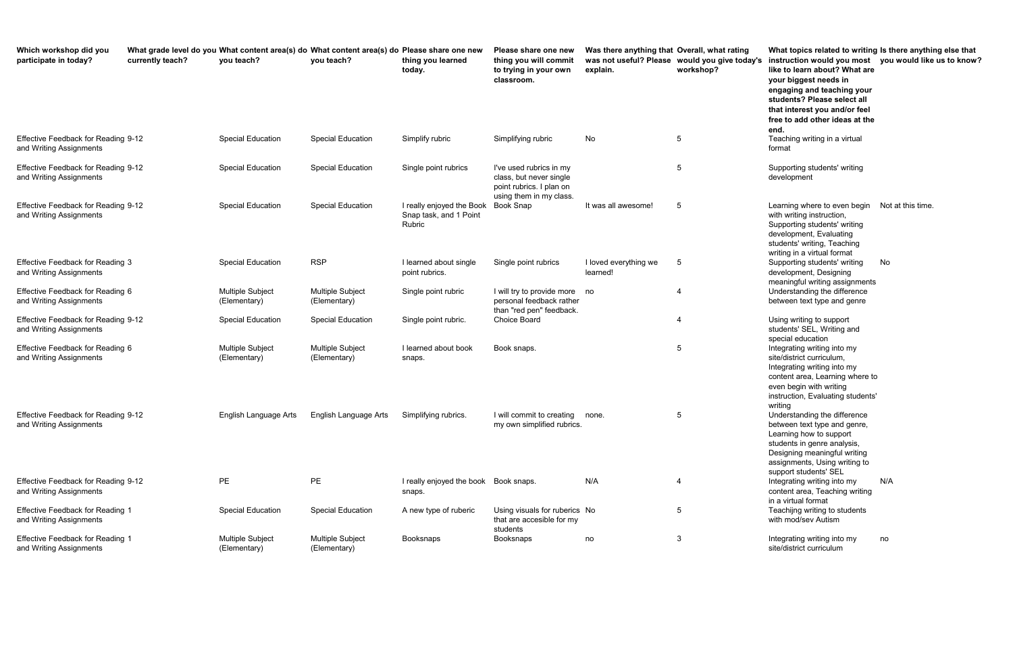| Which workshop did you<br>participate in today?                       | currently teach? | What grade level do you What content area(s) do What content area(s) do Please share one new<br>you teach? | you teach?                       | thing you learned<br>today.                                   | Please share one new<br>thing you will commit<br>to trying in your own                                    | Was there anything that Overall, what rating<br>explain. | was not useful? Please would you give today's<br>workshop? | What topics related to writing Is there anythi<br>instruction would you most<br>like to learn about? What are                                                                                                    | you would like    |
|-----------------------------------------------------------------------|------------------|------------------------------------------------------------------------------------------------------------|----------------------------------|---------------------------------------------------------------|-----------------------------------------------------------------------------------------------------------|----------------------------------------------------------|------------------------------------------------------------|------------------------------------------------------------------------------------------------------------------------------------------------------------------------------------------------------------------|-------------------|
|                                                                       |                  |                                                                                                            |                                  |                                                               | classroom.                                                                                                |                                                          |                                                            | your biggest needs in<br>engaging and teaching your<br>students? Please select all<br>that interest you and/or feel<br>free to add other ideas at the<br>end.                                                    |                   |
| Effective Feedback for Reading 9-12<br>and Writing Assignments        |                  | <b>Special Education</b>                                                                                   | <b>Special Education</b>         | Simplify rubric                                               | Simplifying rubric                                                                                        | No                                                       | 5                                                          | Teaching writing in a virtual<br>format                                                                                                                                                                          |                   |
| <b>Effective Feedback for Reading 9-12</b><br>and Writing Assignments |                  | <b>Special Education</b>                                                                                   | <b>Special Education</b>         | Single point rubrics                                          | I've used rubrics in my<br>class, but never single<br>point rubrics. I plan on<br>using them in my class. |                                                          | 5                                                          | Supporting students' writing<br>development                                                                                                                                                                      |                   |
| Effective Feedback for Reading 9-12<br>and Writing Assignments        |                  | <b>Special Education</b>                                                                                   | <b>Special Education</b>         | I really enjoyed the Book<br>Snap task, and 1 Point<br>Rubric | <b>Book Snap</b>                                                                                          | It was all awesome!                                      | 5                                                          | Learning where to even begin<br>with writing instruction,<br>Supporting students' writing<br>development, Evaluating<br>students' writing, Teaching<br>writing in a virtual format                               | Not at this time. |
| <b>Effective Feedback for Reading 3</b><br>and Writing Assignments    |                  | <b>Special Education</b>                                                                                   | <b>RSP</b>                       | I learned about single<br>point rubrics.                      | Single point rubrics                                                                                      | I loved everything we<br>learned!                        | 5                                                          | Supporting students' writing<br>development, Designing<br>meaningful writing assignments                                                                                                                         | No                |
| Effective Feedback for Reading 6<br>and Writing Assignments           |                  | <b>Multiple Subject</b><br>(Elementary)                                                                    | Multiple Subject<br>(Elementary) | Single point rubric                                           | I will try to provide more<br>personal feedback rather<br>than "red pen" feedback.                        | no                                                       | 4                                                          | Understanding the difference<br>between text type and genre                                                                                                                                                      |                   |
| Effective Feedback for Reading 9-12<br>and Writing Assignments        |                  | <b>Special Education</b>                                                                                   | <b>Special Education</b>         | Single point rubric.                                          | <b>Choice Board</b>                                                                                       |                                                          | 4                                                          | Using writing to support<br>students' SEL, Writing and<br>special education                                                                                                                                      |                   |
| Effective Feedback for Reading 6<br>and Writing Assignments           |                  | <b>Multiple Subject</b><br>(Elementary)                                                                    | Multiple Subject<br>(Elementary) | I learned about book<br>snaps.                                | Book snaps.                                                                                               |                                                          | 5                                                          | Integrating writing into my<br>site/district curriculum,<br>Integrating writing into my<br>content area, Learning where to<br>even begin with writing<br>instruction, Evaluating students'<br>writing            |                   |
| Effective Feedback for Reading 9-12<br>and Writing Assignments        |                  | English Language Arts                                                                                      | English Language Arts            | Simplifying rubrics.                                          | I will commit to creating<br>my own simplified rubrics.                                                   | none.                                                    | 5                                                          | Understanding the difference<br>between text type and genre,<br>Learning how to support<br>students in genre analysis,<br>Designing meaningful writing<br>assignments, Using writing to<br>support students' SEL |                   |
| Effective Feedback for Reading 9-12<br>and Writing Assignments        |                  | PE                                                                                                         | PE                               | I really enjoyed the book Book snaps.<br>snaps.               |                                                                                                           | N/A                                                      | 4                                                          | Integrating writing into my<br>content area, Teaching writing<br>in a virtual format                                                                                                                             | N/A               |
| <b>Effective Feedback for Reading 1</b><br>and Writing Assignments    |                  | <b>Special Education</b>                                                                                   | <b>Special Education</b>         | A new type of ruberic                                         | Using visuals for ruberics No<br>that are accesible for my<br>students                                    |                                                          | 5                                                          | Teachijng writing to students<br>with mod/sev Autism                                                                                                                                                             |                   |
| <b>Effective Feedback for Reading 1</b><br>and Writing Assignments    |                  | <b>Multiple Subject</b><br>(Elementary)                                                                    | Multiple Subject<br>(Elementary) | Booksnaps                                                     | Booksnaps                                                                                                 | no                                                       | 3                                                          | Integrating writing into my<br>site/district curriculum                                                                                                                                                          | no                |

**ating would you give today's instruction would you most you would like us to know? What topics related to writing Is there anything else that like to learn about? What are your biggest needs in engaging and teaching your students? Please select all that interest you and/or feel free to add other ideas at the end.** Teaching writing in a virtual format 5 Supporting students' writing development with writing instruction, Supporting students' writing development, Evaluating students' writing, Teaching writing in a virtual format 5 Supporting students' writing development, Designing meaningful writing assignments No Understanding the difference between text type and genre Using writing to support students' SEL, Writing and special education Integrating writing into my site/district curriculum, Integrating writing into my content area, Learning where to even begin with writing instruction, Evaluating students' writing Understanding the difference between text type and genre, Learning how to support students in genre analysis, Designing meaningful writing assignments, Using writing to support students' SEL Integrating writing into my content area, Teaching writing in a virtual format N/A Teachijng writing to students with mod/sev Autism Integrating writing into my site/district curriculum no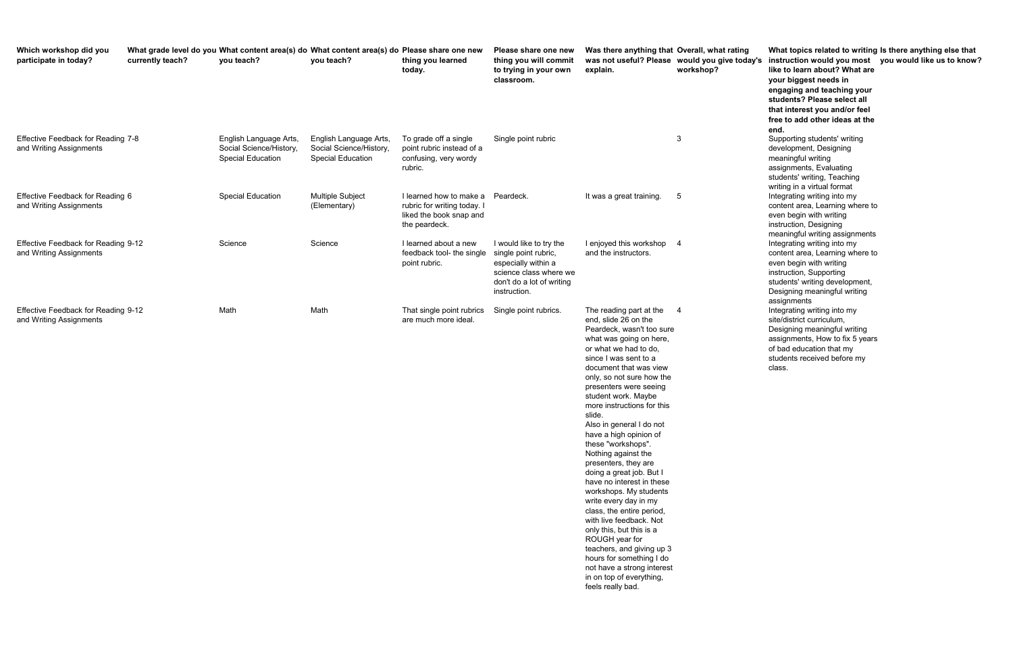**would you give today's instruction would you most you would like us to know? like to learn about? What are your biggest needs in engaging and teaching your students? Please select all that interest you and/or feel free to add other ideas at the end.**

**What topics related to writing Is there anything else that** 

| Which workshop did you<br>participate in today?                | currently teach? | What grade level do you What content area(s) do What content area(s) do Please share one new<br>you teach? | you teach?                                                                    | thing you learned<br>today.                                                                        | Please share one new<br>thing you will commit<br>to trying in your own<br>classroom.                                                          | Was there anything that Overall, what ra<br>was not useful? Please would you give<br>explain.                                                                                                                                                                                                                                                                                                                                                                                                                                                                                                                                                                                                                                                                                                  | workshop?  |
|----------------------------------------------------------------|------------------|------------------------------------------------------------------------------------------------------------|-------------------------------------------------------------------------------|----------------------------------------------------------------------------------------------------|-----------------------------------------------------------------------------------------------------------------------------------------------|------------------------------------------------------------------------------------------------------------------------------------------------------------------------------------------------------------------------------------------------------------------------------------------------------------------------------------------------------------------------------------------------------------------------------------------------------------------------------------------------------------------------------------------------------------------------------------------------------------------------------------------------------------------------------------------------------------------------------------------------------------------------------------------------|------------|
| Effective Feedback for Reading 7-8<br>and Writing Assignments  |                  | English Language Arts,<br>Social Science/History,<br><b>Special Education</b>                              | English Language Arts,<br>Social Science/History,<br><b>Special Education</b> | To grade off a single<br>point rubric instead of a<br>confusing, very wordy<br>rubric.             | Single point rubric                                                                                                                           |                                                                                                                                                                                                                                                                                                                                                                                                                                                                                                                                                                                                                                                                                                                                                                                                | 3          |
| Effective Feedback for Reading 6<br>and Writing Assignments    |                  | Special Education                                                                                          | Multiple Subject<br>(Elementary)                                              | I learned how to make a<br>rubric for writing today. I<br>liked the book snap and<br>the peardeck. | Peardeck.                                                                                                                                     | It was a great training.                                                                                                                                                                                                                                                                                                                                                                                                                                                                                                                                                                                                                                                                                                                                                                       | $\sqrt{5}$ |
| Effective Feedback for Reading 9-12<br>and Writing Assignments |                  | Science                                                                                                    | Science                                                                       | I learned about a new<br>feedback tool- the single<br>point rubric.                                | I would like to try the<br>single point rubric,<br>especially within a<br>science class where we<br>don't do a lot of writing<br>instruction. | I enjoyed this workshop<br>and the instructors.                                                                                                                                                                                                                                                                                                                                                                                                                                                                                                                                                                                                                                                                                                                                                | -4         |
| Effective Feedback for Reading 9-12<br>and Writing Assignments |                  | Math                                                                                                       | Math                                                                          | That single point rubrics<br>are much more ideal.                                                  | Single point rubrics.                                                                                                                         | The reading part at the<br>end, slide 26 on the<br>Peardeck, wasn't too sure<br>what was going on here,<br>or what we had to do,<br>since I was sent to a<br>document that was view<br>only, so not sure how the<br>presenters were seeing<br>student work. Maybe<br>more instructions for this<br>slide.<br>Also in general I do not<br>have a high opinion of<br>these "workshops".<br>Nothing against the<br>presenters, they are<br>doing a great job. But I<br>have no interest in these<br>workshops. My students<br>write every day in my<br>class, the entire period,<br>with live feedback. Not<br>only this, but this is a<br>ROUGH year for<br>teachers, and giving up 3<br>hours for something I do<br>not have a strong interest<br>in on top of everything,<br>feels really bad. | -4         |

ating

Supporting students' writing development, Designing meaningful writing assignments, Evaluating students' writing, Teaching writing in a virtual format Integrating writing into my content area, Learning where to even begin with writing instruction, Designing meaningful writing assignments Integrating writing into my content area, Learning where to even begin with writing instruction, Supporting students' writing development, Designing meaningful writing assignments Integrating writing into my site/district curriculum, Designing meaningful writing assignments, How to fix 5 years of bad education that my students received before my class.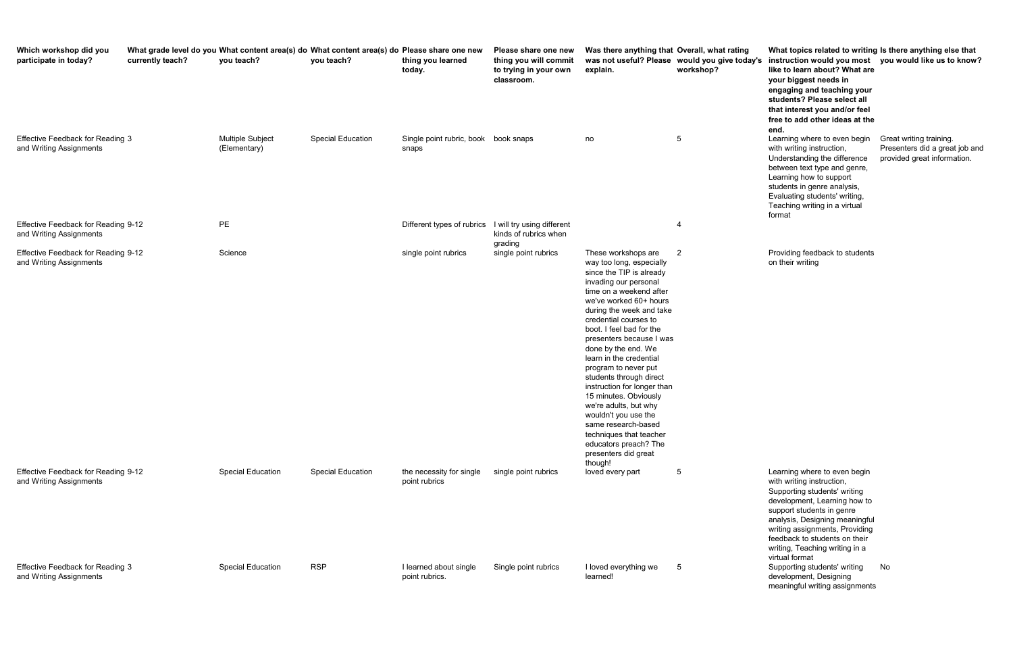**ating would you give today's instruction would you most you would like us to know? What topics related to writing Is there anything else that like to learn about? What are your biggest needs in engaging and teaching your students? Please select all that interest you and/or feel free to add other ideas at the end.** with writing instruction, Understanding the difference between text type and genre, Learning how to support students in genre analysis, Evaluating students' writing, Teaching writing in a virtual format Presenters did a great job and provided great information.

| Which workshop did you<br>participate in today?                    | currently teach? | you teach?                              | What grade level do you What content area(s) do What content area(s) do Please share one new<br>you teach? | thing you learned<br>today.                           | Please share one new<br>thing you will commit<br>to trying in your own<br>classroom. | Was there anything that Overall, what rating<br>explain.                                                                                                                                                                                                                                                                                                                                                                                                                                                                                                                                           | was not useful? Please would you give today's<br>workshop? | What topics related to writing Is there anything els<br>instruction would you most you would like us to<br>like to learn about? What are<br>your biggest needs in<br>engaging and teaching your<br>students? Please select all<br>that interest you and/or feel<br>free to add other ideas at the<br>end.       |                                                                             |
|--------------------------------------------------------------------|------------------|-----------------------------------------|------------------------------------------------------------------------------------------------------------|-------------------------------------------------------|--------------------------------------------------------------------------------------|----------------------------------------------------------------------------------------------------------------------------------------------------------------------------------------------------------------------------------------------------------------------------------------------------------------------------------------------------------------------------------------------------------------------------------------------------------------------------------------------------------------------------------------------------------------------------------------------------|------------------------------------------------------------|-----------------------------------------------------------------------------------------------------------------------------------------------------------------------------------------------------------------------------------------------------------------------------------------------------------------|-----------------------------------------------------------------------------|
| <b>Effective Feedback for Reading 3</b><br>and Writing Assignments |                  | <b>Multiple Subject</b><br>(Elementary) | <b>Special Education</b>                                                                                   | Single point rubric, book book snaps<br>snaps         |                                                                                      | no                                                                                                                                                                                                                                                                                                                                                                                                                                                                                                                                                                                                 | 5                                                          | Learning where to even begin<br>with writing instruction,<br>Understanding the difference<br>between text type and genre,<br>Learning how to support<br>students in genre analysis,<br>Evaluating students' writing,<br>Teaching writing in a virtual<br>format                                                 | Great writing training.<br>Presenters did a great<br>provided great informa |
| Effective Feedback for Reading 9-12<br>and Writing Assignments     |                  | <b>PE</b>                               |                                                                                                            | Different types of rubrics I will try using different | kinds of rubrics when<br>grading                                                     |                                                                                                                                                                                                                                                                                                                                                                                                                                                                                                                                                                                                    | 4                                                          |                                                                                                                                                                                                                                                                                                                 |                                                                             |
| Effective Feedback for Reading 9-12<br>and Writing Assignments     |                  | Science                                 |                                                                                                            | single point rubrics                                  | single point rubrics                                                                 | These workshops are<br>way too long, especially<br>since the TIP is already<br>invading our personal<br>time on a weekend after<br>we've worked 60+ hours<br>during the week and take<br>credential courses to<br>boot. I feel bad for the<br>presenters because I was<br>done by the end. We<br>learn in the credential<br>program to never put<br>students through direct<br>instruction for longer than<br>15 minutes. Obviously<br>we're adults, but why<br>wouldn't you use the<br>same research-based<br>techniques that teacher<br>educators preach? The<br>presenters did great<br>though! | $\overline{2}$                                             | Providing feedback to students<br>on their writing                                                                                                                                                                                                                                                              |                                                                             |
| Effective Feedback for Reading 9-12<br>and Writing Assignments     |                  | <b>Special Education</b>                | <b>Special Education</b>                                                                                   | the necessity for single<br>point rubrics             | single point rubrics                                                                 | loved every part                                                                                                                                                                                                                                                                                                                                                                                                                                                                                                                                                                                   | $5\phantom{.0}$                                            | Learning where to even begin<br>with writing instruction,<br>Supporting students' writing<br>development, Learning how to<br>support students in genre<br>analysis, Designing meaningful<br>writing assignments, Providing<br>feedback to students on their<br>writing, Teaching writing in a<br>virtual format |                                                                             |
| <b>Effective Feedback for Reading 3</b><br>and Writing Assignments |                  | <b>Special Education</b>                | <b>RSP</b>                                                                                                 | I learned about single<br>point rubrics.              | Single point rubrics                                                                 | I loved everything we<br>learned!                                                                                                                                                                                                                                                                                                                                                                                                                                                                                                                                                                  | 5                                                          | Supporting students' writing<br>development, Designing<br>meaningful writing assignments                                                                                                                                                                                                                        | No                                                                          |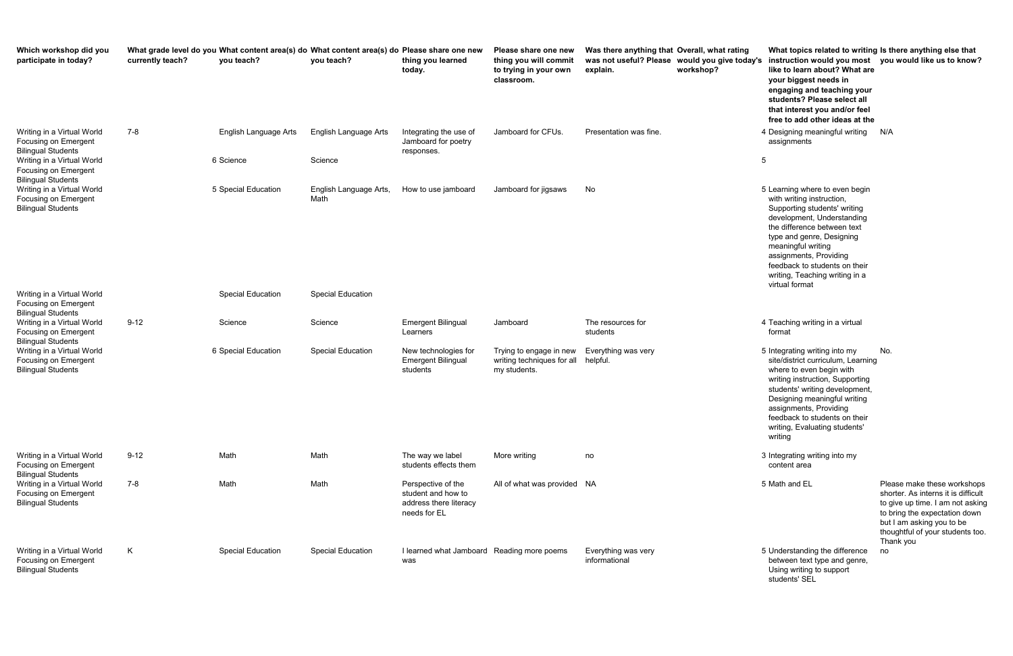rating **would you give today's instruction would you most you would like us to know? What topics related to writing Is there anything else that like to learn about? What are your biggest needs in engaging and teaching your students? Please select all that interest you and/or feel free to add other ideas at the** 

> 5 Math and EL **Example 2 Set all of Please make these workshops** shorter. As interns it is difficult to give up time. I am not asking to bring the expectation down but I am asking you to be thoughtful of your students too. Thank you

| Which workshop did you<br>participate in today?                                 | currently teach? | What grade level do you What content area(s) do What content area(s) do Please share one new<br>you teach? | you teach?                     | thing you learned<br>today.                                                        | Please share one new<br>thing you will commit<br>to trying in your own<br>classroom. | Was there anything that Overall, what rating<br>explain. | was not useful? Please would you give today's<br>workshop? | What topics related to writing Is the<br>instruction would you most you<br>like to learn about? What are<br>your biggest needs in<br>engaging and teaching your<br>students? Please select all<br>that interest you and/or feel<br>free to add other ideas at the                                                          |                                                   |
|---------------------------------------------------------------------------------|------------------|------------------------------------------------------------------------------------------------------------|--------------------------------|------------------------------------------------------------------------------------|--------------------------------------------------------------------------------------|----------------------------------------------------------|------------------------------------------------------------|----------------------------------------------------------------------------------------------------------------------------------------------------------------------------------------------------------------------------------------------------------------------------------------------------------------------------|---------------------------------------------------|
| Writing in a Virtual World<br>Focusing on Emergent<br><b>Bilingual Students</b> | $7 - 8$          | English Language Arts                                                                                      | English Language Arts          | Integrating the use of<br>Jamboard for poetry<br>responses.                        | Jamboard for CFUs.                                                                   | Presentation was fine.                                   |                                                            | 4 Designing meaningful writing<br>assignments                                                                                                                                                                                                                                                                              | N/A                                               |
| Writing in a Virtual World<br>Focusing on Emergent<br><b>Bilingual Students</b> |                  | 6 Science                                                                                                  | Science                        |                                                                                    |                                                                                      |                                                          |                                                            | 5                                                                                                                                                                                                                                                                                                                          |                                                   |
| Writing in a Virtual World<br>Focusing on Emergent<br><b>Bilingual Students</b> |                  | 5 Special Education                                                                                        | English Language Arts,<br>Math | How to use jamboard                                                                | Jamboard for jigsaws                                                                 | No                                                       |                                                            | 5 Learning where to even begin<br>with writing instruction,<br>Supporting students' writing<br>development, Understanding<br>the difference between text<br>type and genre, Designing<br>meaningful writing<br>assignments, Providing<br>feedback to students on their<br>writing, Teaching writing in a<br>virtual format |                                                   |
| Writing in a Virtual World<br>Focusing on Emergent<br><b>Bilingual Students</b> |                  | Special Education                                                                                          | <b>Special Education</b>       |                                                                                    |                                                                                      |                                                          |                                                            |                                                                                                                                                                                                                                                                                                                            |                                                   |
| Writing in a Virtual World<br>Focusing on Emergent<br><b>Bilingual Students</b> | $9 - 12$         | Science                                                                                                    | Science                        | <b>Emergent Bilingual</b><br>Learners                                              | Jamboard                                                                             | The resources for<br>students                            |                                                            | 4 Teaching writing in a virtual<br>format                                                                                                                                                                                                                                                                                  |                                                   |
| Writing in a Virtual World<br>Focusing on Emergent<br><b>Bilingual Students</b> |                  | 6 Special Education                                                                                        | <b>Special Education</b>       | New technologies for<br><b>Emergent Bilingual</b><br>students                      | Trying to engage in new<br>writing techniques for all<br>my students.                | Everything was very<br>helpful.                          |                                                            | 5 Integrating writing into my<br>site/district curriculum, Learning<br>where to even begin with<br>writing instruction, Supporting<br>students' writing development,<br>Designing meaningful writing<br>assignments, Providing<br>feedback to students on their<br>writing, Evaluating students'<br>writing                | No.                                               |
| Writing in a Virtual World<br>Focusing on Emergent<br><b>Bilingual Students</b> | $9 - 12$         | Math                                                                                                       | Math                           | The way we label<br>students effects them                                          | More writing                                                                         | no                                                       |                                                            | 3 Integrating writing into my<br>content area                                                                                                                                                                                                                                                                              |                                                   |
| Writing in a Virtual World<br>Focusing on Emergent<br><b>Bilingual Students</b> | 7-8              | Math                                                                                                       | Math                           | Perspective of the<br>student and how to<br>address there literacy<br>needs for EL | All of what was provided NA                                                          |                                                          |                                                            | 5 Math and EL                                                                                                                                                                                                                                                                                                              | Plea<br>sho<br>to g<br>to b<br>but<br>thoi<br>Tha |
| Writing in a Virtual World<br>Focusing on Emergent<br><b>Bilingual Students</b> | K                | <b>Special Education</b>                                                                                   | <b>Special Education</b>       | I learned what Jamboard Reading more poems<br>was                                  |                                                                                      | Everything was very<br>informational                     |                                                            | 5 Understanding the difference<br>between text type and genre,<br>Using writing to support                                                                                                                                                                                                                                 | no                                                |

- assignments
- 
- 5 Learning where to even begin with writing instruction, Supporting students' writing development, Understanding the difference between text type and genre, Designing meaningful writing assignments, Providing feedback to students on their writing, Teaching writing in a virtual format
- 4 Teaching writing in a virtual format
- 5 Integrating writing into my site/district curriculum, Learning where to even begin with writing instruction, Supporting students' writing development, Designing meaningful writing assignments, Providing feedback to students on their writing, Evaluating students' writing No.
- 3 Integrating writing into my content area
- 
- 5 Understanding the difference between text type and genre, Using writing to support students' SEL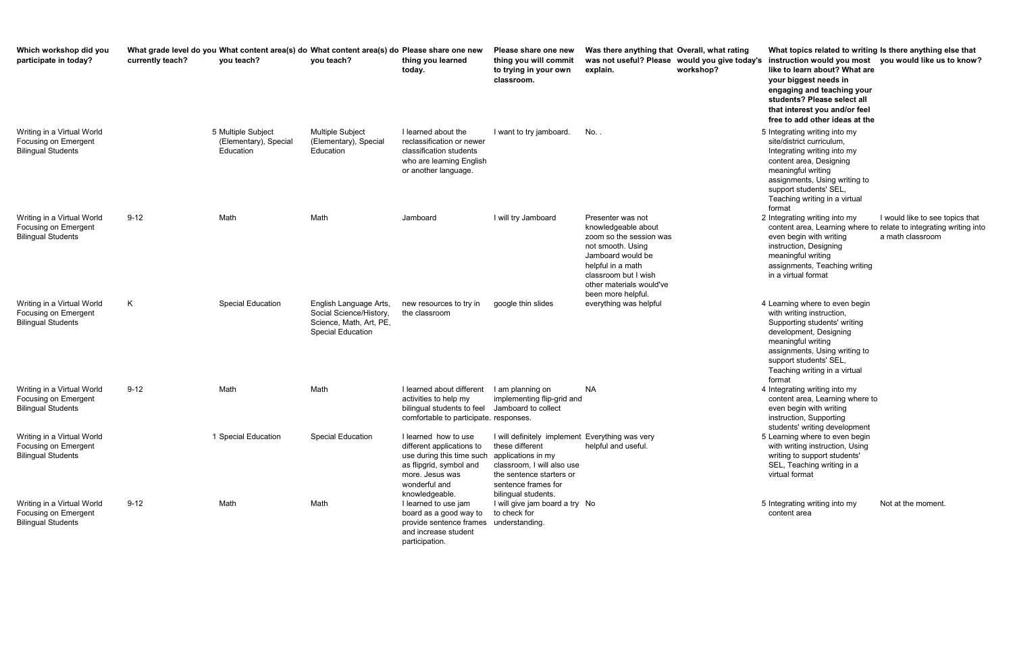**Overall, what rating would you give today's instruction would you most you would like us to know? What topics related to writing Is there anything else that like to learn about? What are your biggest needs in engaging and teaching your students? Please select all that interest you and/or feel free to add other ideas at the**  site/district curriculum, Integrating writing into my content area, Designing

meaningful writing assignments, Using writing to support students' SEL, Teaching writing in a virtual format

2 Integrating writing into my content area, Learning where to relate to integrating writing into even begin with writing instruction, Designing meaningful writing assignments, Teaching writing in a virtual format I would like to see topics that a math classroom

| Which workshop did you<br>participate in today?                                 | currently teach? | What grade level do you What content area(s) do What content area(s) do Please share one new<br>you teach? | you teach?                                                                                               | thing you learned<br>today.                                                                                                                                     | Please share one new<br>thing you will commit<br>to trying in your own<br>classroom.                                                                                                             | Was there anything that Overall, what rating<br>was not useful? Please would you give today's<br>explain.<br>workshop?                                                                                       | What topics related to w<br>instruction would you m<br>like to learn about? Wha<br>your biggest needs in<br>engaging and teaching y<br>students? Please select<br>that interest you and/or<br>free to add other ideas a                      |
|---------------------------------------------------------------------------------|------------------|------------------------------------------------------------------------------------------------------------|----------------------------------------------------------------------------------------------------------|-----------------------------------------------------------------------------------------------------------------------------------------------------------------|--------------------------------------------------------------------------------------------------------------------------------------------------------------------------------------------------|--------------------------------------------------------------------------------------------------------------------------------------------------------------------------------------------------------------|----------------------------------------------------------------------------------------------------------------------------------------------------------------------------------------------------------------------------------------------|
| Writing in a Virtual World<br>Focusing on Emergent<br><b>Bilingual Students</b> |                  | 5 Multiple Subject<br>(Elementary), Special<br>Education                                                   | <b>Multiple Subject</b><br>(Elementary), Special<br>Education                                            | I learned about the<br>reclassification or newer<br>classification students<br>who are learning English<br>or another language.                                 | I want to try jamboard.                                                                                                                                                                          | No. .                                                                                                                                                                                                        | 5 Integrating writing into my<br>site/district curriculum,<br>Integrating writing into my<br>content area, Designing<br>meaningful writing<br>assignments, Using writing<br>support students' SEL,<br>Teaching writing in a virtua<br>format |
| Writing in a Virtual World<br>Focusing on Emergent<br><b>Bilingual Students</b> | $9 - 12$         | Math                                                                                                       | Math                                                                                                     | Jamboard                                                                                                                                                        | I will try Jamboard                                                                                                                                                                              | Presenter was not<br>knowledgeable about<br>zoom so the session was<br>not smooth. Using<br>Jamboard would be<br>helpful in a math<br>classroom but I wish<br>other materials would've<br>been more helpful. | 2 Integrating writing into my<br>content area, Learning wh<br>even begin with writing<br>instruction, Designing<br>meaningful writing<br>assignments, Teaching wr<br>in a virtual format                                                     |
| Writing in a Virtual World<br>Focusing on Emergent<br><b>Bilingual Students</b> | K                | <b>Special Education</b>                                                                                   | English Language Arts,<br>Social Science/History,<br>Science, Math, Art, PE,<br><b>Special Education</b> | new resources to try in<br>the classroom                                                                                                                        | google thin slides                                                                                                                                                                               | everything was helpful                                                                                                                                                                                       | 4 Learning where to even be<br>with writing instruction,<br>Supporting students' writin<br>development, Designing<br>meaningful writing<br>assignments, Using writing<br>support students' SEL,<br>Teaching writing in a virtua<br>format    |
| Writing in a Virtual World<br>Focusing on Emergent<br><b>Bilingual Students</b> | $9 - 12$         | Math                                                                                                       | Math                                                                                                     | I learned about different<br>activities to help my<br>bilingual students to feel<br>comfortable to participate. responses.                                      | I am planning on<br>implementing flip-grid and<br>Jamboard to collect                                                                                                                            | <b>NA</b>                                                                                                                                                                                                    | 4 Integrating writing into my<br>content area, Learning wh<br>even begin with writing<br>instruction, Supporting<br>students' writing developm                                                                                               |
| Writing in a Virtual World<br>Focusing on Emergent<br><b>Bilingual Students</b> |                  | 1 Special Education                                                                                        | Special Education                                                                                        | I learned how to use<br>different applications to<br>use during this time such<br>as flipgrid, symbol and<br>more. Jesus was<br>wonderful and<br>knowledgeable. | I will definitely implement Everything was very<br>these different<br>applications in my<br>classroom, I will also use<br>the sentence starters or<br>sentence frames for<br>bilingual students. | helpful and useful.                                                                                                                                                                                          | 5 Learning where to even be<br>with writing instruction, Us<br>writing to support students<br>SEL, Teaching writing in a<br>virtual format                                                                                                   |
| Writing in a Virtual World<br>Focusing on Emergent<br><b>Bilingual Students</b> | $9 - 12$         | Math                                                                                                       | Math                                                                                                     | I learned to use jam<br>board as a good way to<br>provide sentence frames<br>and increase student<br>participation.                                             | I will give jam board a try No<br>to check for<br>understanding.                                                                                                                                 |                                                                                                                                                                                                              | 5 Integrating writing into my<br>content area                                                                                                                                                                                                |

- 4 Learning where to even begin with writing instruction, Supporting students' writing development, Designing meaningful writing assignments, Using writing to support students' SEL, Teaching writing in a virtual format
- 4 Integrating writing into my content area, Learning where to even begin with writing instruction, Supporting students' writing development
- 5 Learning where to even begin with writing instruction, Using writing to support students' SEL, Teaching writing in a virtual format
- 5 Integrating writing into my content area

Not at the moment.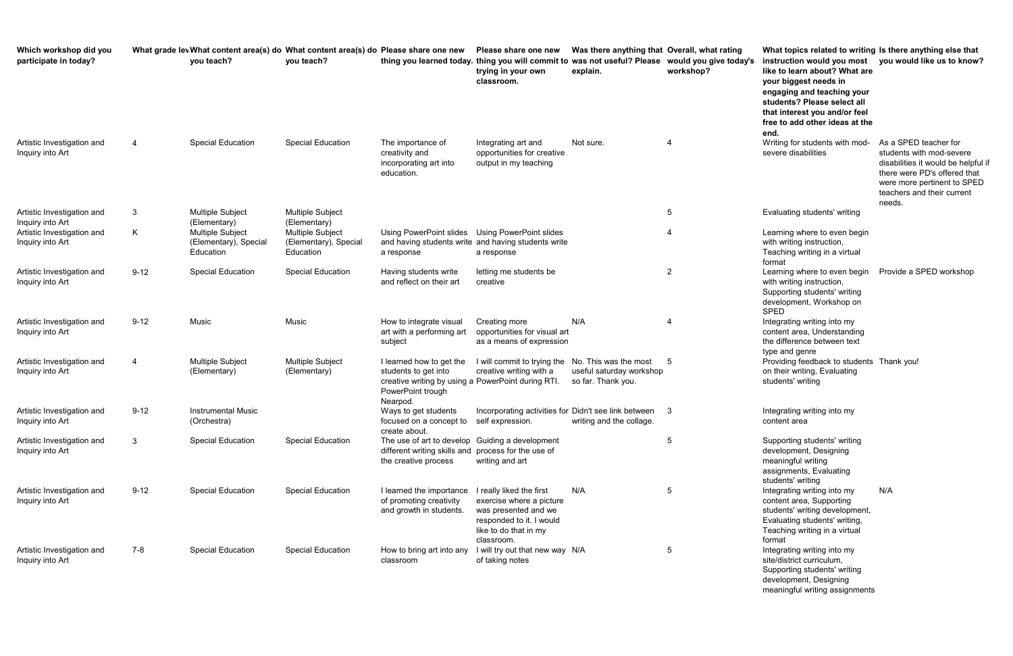| Which workshop did you<br>participate in today?                              |          | What grade lev What content area(s) do What content area(s) do Please share one new<br>you teach? | you teach?                                                         |                                                                                                                                         | Please share one new<br>thing you learned today. thing you will commit to was not useful? Please would you give today's<br>trying in your own<br>classroom. | Was there anything that Overall, what rating<br>explain.                | workshop?      | What topics related to writin<br>instruction would you most<br>like to learn about? What are<br>your biggest needs in<br>engaging and teaching your<br>students? Please select all<br>that interest you and/or feel<br>free to add other ideas at the |
|------------------------------------------------------------------------------|----------|---------------------------------------------------------------------------------------------------|--------------------------------------------------------------------|-----------------------------------------------------------------------------------------------------------------------------------------|-------------------------------------------------------------------------------------------------------------------------------------------------------------|-------------------------------------------------------------------------|----------------|-------------------------------------------------------------------------------------------------------------------------------------------------------------------------------------------------------------------------------------------------------|
| Artistic Investigation and<br>Inquiry into Art                               | 4        | <b>Special Education</b>                                                                          | <b>Special Education</b>                                           | The importance of<br>creativity and<br>incorporating art into<br>education.                                                             | Integrating art and<br>opportunities for creative<br>output in my teaching                                                                                  | Not sure.                                                               | 4              | end.<br>Writing for students with mod-<br>severe disabilities                                                                                                                                                                                         |
| Artistic Investigation and<br>Inquiry into Art<br>Artistic Investigation and | 3<br>K   | <b>Multiple Subject</b><br>(Elementary)<br>Multiple Subject                                       | <b>Multiple Subject</b><br>(Elementary)<br><b>Multiple Subject</b> | Using PowerPoint slides                                                                                                                 | Using PowerPoint slides                                                                                                                                     |                                                                         | 5<br>4         | Evaluating students' writing<br>Learning where to even begin                                                                                                                                                                                          |
| Inquiry into Art                                                             |          | (Elementary), Special<br>Education                                                                | (Elementary), Special<br>Education                                 | a response                                                                                                                              | and having students write and having students write<br>a response                                                                                           |                                                                         |                | with writing instruction,<br>Teaching writing in a virtual<br>format                                                                                                                                                                                  |
| Artistic Investigation and<br>Inquiry into Art                               | $9 - 12$ | <b>Special Education</b>                                                                          | <b>Special Education</b>                                           | Having students write<br>and reflect on their art                                                                                       | letting me students be<br>creative                                                                                                                          |                                                                         | $\overline{c}$ | Learning where to even begin<br>with writing instruction,<br>Supporting students' writing<br>development, Workshop on<br><b>SPED</b>                                                                                                                  |
| Artistic Investigation and<br>Inquiry into Art                               | $9 - 12$ | Music                                                                                             | Music                                                              | How to integrate visual<br>art with a performing art<br>subject                                                                         | Creating more<br>opportunities for visual art<br>as a means of expression                                                                                   | N/A                                                                     | 4              | Integrating writing into my<br>content area, Understanding<br>the difference between text<br>type and genre                                                                                                                                           |
| Artistic Investigation and<br>Inquiry into Art                               | 4        | Multiple Subject<br>(Elementary)                                                                  | <b>Multiple Subject</b><br>(Elementary)                            | I learned how to get the<br>students to get into<br>creative writing by using a PowerPoint during RTI.<br>PowerPoint trough<br>Nearpod. | I will commit to trying the<br>creative writing with a                                                                                                      | No. This was the most<br>useful saturday workshop<br>so far. Thank you. | 5              | Providing feedback to student<br>on their writing, Evaluating<br>students' writing                                                                                                                                                                    |
| Artistic Investigation and<br>Inquiry into Art                               | $9 - 12$ | <b>Instrumental Music</b><br>(Orchestra)                                                          |                                                                    | Ways to get students<br>focused on a concept to self expression.<br>create about.                                                       | Incorporating activities for Didn't see link between                                                                                                        | writing and the collage.                                                | 3              | Integrating writing into my<br>content area                                                                                                                                                                                                           |
| Artistic Investigation and<br>Inquiry into Art                               | 3        | <b>Special Education</b>                                                                          | <b>Special Education</b>                                           | The use of art to develop Guiding a development<br>different writing skills and process for the use of<br>the creative process          | writing and art                                                                                                                                             |                                                                         | 5              | Supporting students' writing<br>development, Designing<br>meaningful writing<br>assignments, Evaluating<br>students' writing                                                                                                                          |
| Artistic Investigation and<br>Inquiry into Art                               | $9 - 12$ | <b>Special Education</b>                                                                          | <b>Special Education</b>                                           | I learned the importance<br>of promoting creativity<br>and growth in students.                                                          | I really liked the first<br>exercise where a picture<br>was presented and we<br>responded to it. I would<br>like to do that in my<br>classroom.             | N/A                                                                     | 5              | Integrating writing into my<br>content area, Supporting<br>students' writing development<br>Evaluating students' writing,<br>Teaching writing in a virtual<br>format                                                                                  |
| Artistic Investigation and<br>Inquiry into Art                               | 7-8      | <b>Special Education</b>                                                                          | <b>Special Education</b>                                           | How to bring art into any<br>classroom                                                                                                  | I will try out that new way N/A<br>of taking notes                                                                                                          |                                                                         | 5              | Integrating writing into my<br>site/district curriculum,                                                                                                                                                                                              |

| Overall, what rating<br>would you give today's<br>workshop? | What topics related to writing Is there anything else that<br>instruction would you most<br>like to learn about? What are<br>your biggest needs in<br>engaging and teaching your<br>students? Please select all<br>that interest you and/or feel<br>free to add other ideas at the<br>end. | you would like us to know?                                                                                                                                                                      |
|-------------------------------------------------------------|--------------------------------------------------------------------------------------------------------------------------------------------------------------------------------------------------------------------------------------------------------------------------------------------|-------------------------------------------------------------------------------------------------------------------------------------------------------------------------------------------------|
| 4                                                           | Writing for students with mod-<br>severe disabilities                                                                                                                                                                                                                                      | As a SPED teacher for<br>students with mod-severe<br>disabilities it would be helpful if<br>there were PD's offered that<br>were more pertinent to SPED<br>teachers and their current<br>needs. |
| 5                                                           | Evaluating students' writing                                                                                                                                                                                                                                                               |                                                                                                                                                                                                 |
| 4                                                           | Learning where to even begin<br>with writing instruction,<br>Teaching writing in a virtual<br>format                                                                                                                                                                                       |                                                                                                                                                                                                 |
| 2                                                           | Learning where to even begin<br>with writing instruction,<br>Supporting students' writing<br>development, Workshop on<br><b>SPED</b>                                                                                                                                                       | Provide a SPED workshop                                                                                                                                                                         |
| 4                                                           | Integrating writing into my<br>content area, Understanding<br>the difference between text<br>type and genre                                                                                                                                                                                |                                                                                                                                                                                                 |
| 5                                                           | Providing feedback to students Thank you!<br>on their writing, Evaluating<br>students' writing                                                                                                                                                                                             |                                                                                                                                                                                                 |
| 3                                                           | Integrating writing into my<br>content area                                                                                                                                                                                                                                                |                                                                                                                                                                                                 |
| 5                                                           | Supporting students' writing<br>development, Designing<br>meaningful writing<br>assignments, Evaluating<br>students' writing                                                                                                                                                               |                                                                                                                                                                                                 |
| 5                                                           | Integrating writing into my<br>content area, Supporting<br>students' writing development,<br>Evaluating students' writing,<br>Teaching writing in a virtual<br>format                                                                                                                      | N/A                                                                                                                                                                                             |
| 5                                                           | Integrating writing into my<br>site/district curriculum,<br>Supporting students' writing<br>development, Designing<br>meaningful writing assignments                                                                                                                                       |                                                                                                                                                                                                 |